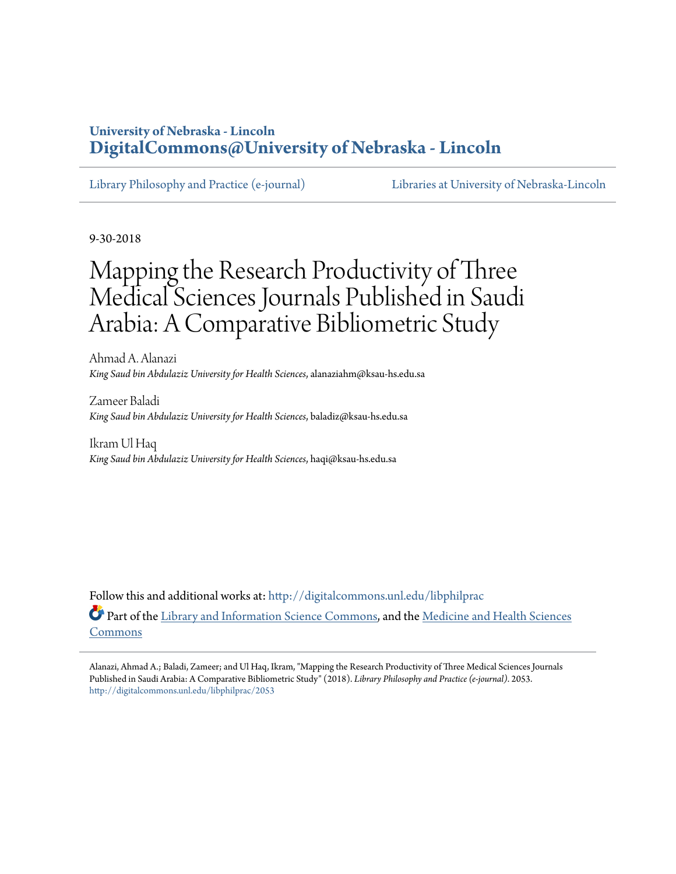## **University of Nebraska - Lincoln [DigitalCommons@University of Nebraska - Lincoln](http://digitalcommons.unl.edu?utm_source=digitalcommons.unl.edu%2Flibphilprac%2F2053&utm_medium=PDF&utm_campaign=PDFCoverPages)**

[Library Philosophy and Practice \(e-journal\)](http://digitalcommons.unl.edu/libphilprac?utm_source=digitalcommons.unl.edu%2Flibphilprac%2F2053&utm_medium=PDF&utm_campaign=PDFCoverPages) [Libraries at University of Nebraska-Lincoln](http://digitalcommons.unl.edu/libraries?utm_source=digitalcommons.unl.edu%2Flibphilprac%2F2053&utm_medium=PDF&utm_campaign=PDFCoverPages)

9-30-2018

# Mapping the Research Productivity of Three Medical Sciences Journals Published in Saudi Arabia: A Comparative Bibliometric Study

Ahmad A. Alanazi *King Saud bin Abdulaziz University for Health Sciences*, alanaziahm@ksau-hs.edu.sa

Zameer Baladi *King Saud bin Abdulaziz University for Health Sciences*, baladiz@ksau-hs.edu.sa

Ikram Ul Haq *King Saud bin Abdulaziz University for Health Sciences*, haqi@ksau-hs.edu.sa

Follow this and additional works at: [http://digitalcommons.unl.edu/libphilprac](http://digitalcommons.unl.edu/libphilprac?utm_source=digitalcommons.unl.edu%2Flibphilprac%2F2053&utm_medium=PDF&utm_campaign=PDFCoverPages) Part of the [Library and Information Science Commons,](http://network.bepress.com/hgg/discipline/1018?utm_source=digitalcommons.unl.edu%2Flibphilprac%2F2053&utm_medium=PDF&utm_campaign=PDFCoverPages) and the [Medicine and Health Sciences](http://network.bepress.com/hgg/discipline/648?utm_source=digitalcommons.unl.edu%2Flibphilprac%2F2053&utm_medium=PDF&utm_campaign=PDFCoverPages) [Commons](http://network.bepress.com/hgg/discipline/648?utm_source=digitalcommons.unl.edu%2Flibphilprac%2F2053&utm_medium=PDF&utm_campaign=PDFCoverPages)

Alanazi, Ahmad A.; Baladi, Zameer; and Ul Haq, Ikram, "Mapping the Research Productivity of Three Medical Sciences Journals Published in Saudi Arabia: A Comparative Bibliometric Study" (2018). *Library Philosophy and Practice (e-journal)*. 2053. [http://digitalcommons.unl.edu/libphilprac/2053](http://digitalcommons.unl.edu/libphilprac/2053?utm_source=digitalcommons.unl.edu%2Flibphilprac%2F2053&utm_medium=PDF&utm_campaign=PDFCoverPages)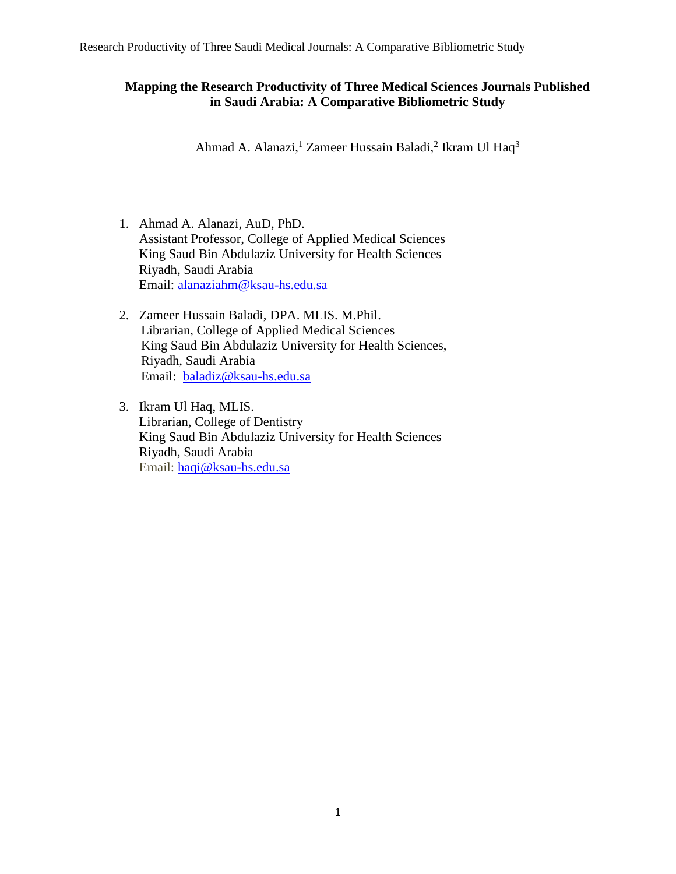### **Mapping the Research Productivity of Three Medical Sciences Journals Published in Saudi Arabia: A Comparative Bibliometric Study**

Ahmad A. Alanazi,<sup>1</sup> Zameer Hussain Baladi,<sup>2</sup> Ikram Ul Haq<sup>3</sup>

- 1. Ahmad A. Alanazi, AuD, PhD. Assistant Professor, College of Applied Medical Sciences King Saud Bin Abdulaziz University for Health Sciences Riyadh, Saudi Arabia Email: [alanaziahm@ksau-hs.edu.sa](mailto:alanaziahm@ksau-hs.edu.sa)
- 2. Zameer Hussain Baladi, DPA. MLIS. M.Phil. Librarian, College of Applied Medical Sciences King Saud Bin Abdulaziz University for Health Sciences, Riyadh, Saudi Arabia Email: [baladiz@ksau-hs.edu.sa](mailto:baladiz@ksau-hs.edu.sa)
- 3. Ikram Ul Haq, MLIS. Librarian, College of Dentistry King Saud Bin Abdulaziz University for Health Sciences Riyadh, Saudi Arabia Email: [haqi@ksau-hs.edu.sa](mailto:haqi@ksau-hs.edu.sa)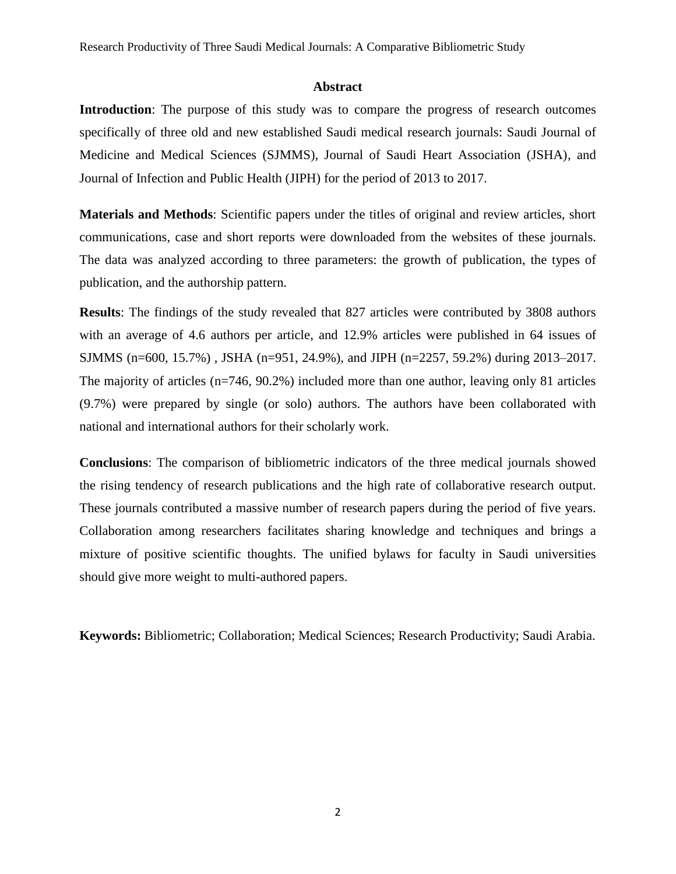#### **Abstract**

**Introduction**: The purpose of this study was to compare the progress of research outcomes specifically of three old and new established Saudi medical research journals: Saudi Journal of Medicine and Medical Sciences (SJMMS), Journal of Saudi Heart Association (JSHA), and Journal of Infection and Public Health (JIPH) for the period of 2013 to 2017.

**Materials and Methods**: Scientific papers under the titles of original and review articles, short communications, case and short reports were downloaded from the websites of these journals. The data was analyzed according to three parameters: the growth of publication, the types of publication, and the authorship pattern.

**Results**: The findings of the study revealed that 827 articles were contributed by 3808 authors with an average of 4.6 authors per article, and 12.9% articles were published in 64 issues of SJMMS (n=600, 15.7%) , JSHA (n=951, 24.9%), and JIPH (n=2257, 59.2%) during 2013–2017. The majority of articles (n=746, 90.2%) included more than one author, leaving only 81 articles (9.7%) were prepared by single (or solo) authors. The authors have been collaborated with national and international authors for their scholarly work.

**Conclusions**: The comparison of bibliometric indicators of the three medical journals showed the rising tendency of research publications and the high rate of collaborative research output. These journals contributed a massive number of research papers during the period of five years. Collaboration among researchers facilitates sharing knowledge and techniques and brings a mixture of positive scientific thoughts. The unified bylaws for faculty in Saudi universities should give more weight to multi-authored papers.

**Keywords:** Bibliometric; Collaboration; Medical Sciences; Research Productivity; Saudi Arabia.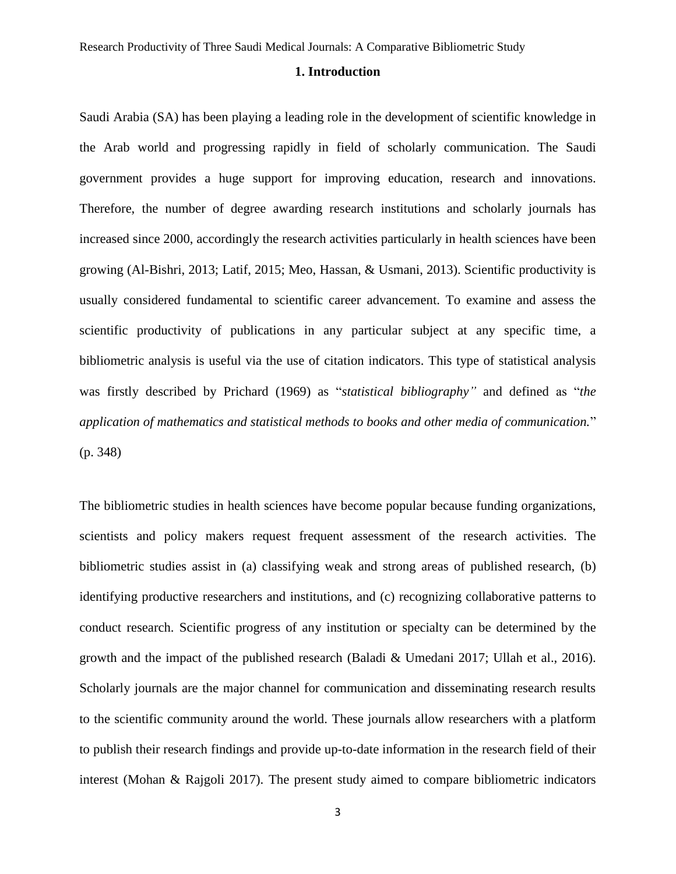#### **1. Introduction**

Saudi Arabia (SA) has been playing a leading role in the development of scientific knowledge in the Arab world and progressing rapidly in field of scholarly communication. The Saudi government provides a huge support for improving education, research and innovations. Therefore, the number of degree awarding research institutions and scholarly journals has increased since 2000, accordingly the research activities particularly in health sciences have been growing (Al-Bishri, 2013; Latif, 2015; Meo, Hassan, & Usmani, 2013). Scientific productivity is usually considered fundamental to scientific career advancement. To examine and assess the scientific productivity of publications in any particular subject at any specific time, a bibliometric analysis is useful via the use of citation indicators. This type of statistical analysis was firstly described by Prichard (1969) as "*statistical bibliography"* and defined as "*the application of mathematics and statistical methods to books and other media of communication.*" (p. 348)

The bibliometric studies in health sciences have become popular because funding organizations, scientists and policy makers request frequent assessment of the research activities. The bibliometric studies assist in (a) classifying weak and strong areas of published research, (b) identifying productive researchers and institutions, and (c) recognizing collaborative patterns to conduct research. Scientific progress of any institution or specialty can be determined by the growth and the impact of the published research (Baladi & Umedani 2017; Ullah et al., 2016). Scholarly journals are the major channel for communication and disseminating research results to the scientific community around the world. These journals allow researchers with a platform to publish their research findings and provide up-to-date information in the research field of their interest (Mohan & Rajgoli 2017). The present study aimed to compare bibliometric indicators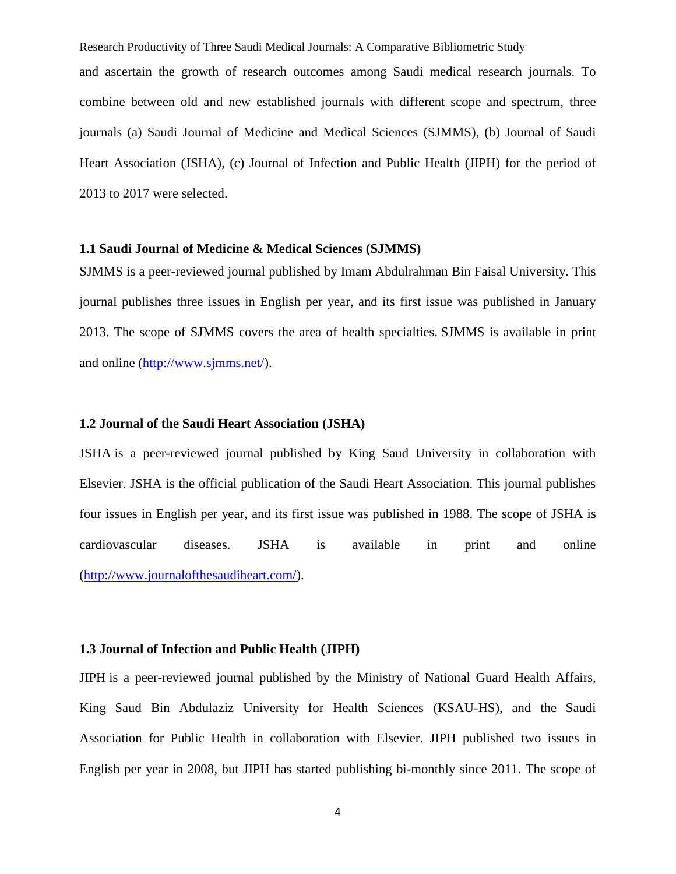Research Productivity of Three Saudi Medical Journals: A Comparative Bibliometric Study and ascertain the growth of research outcomes among Saudi medical research journals. To combine between old and new established journals with different scope and spectrum, three journals (a) Saudi Journal of Medicine and Medical Sciences (SJMMS), (b) Journal of Saudi Heart Association (JSHA), (c) Journal of Infection and Public Health (JIPH) for the period of 2013 to 2017 were selected.

#### **1.1 Saudi Journal of Medicine & Medical Sciences (SJMMS)**

SJMMS is a peer-reviewed journal published by Imam Abdulrahman Bin Faisal University. This journal publishes three issues in English per year, and its first issue was published in January 2013. The scope of SJMMS covers the area of health specialties. SJMMS is available in print and online [\(http://www.sjmms.net/\)](http://www.sjmms.net/).

#### **1.2 Journal of the Saudi Heart Association (JSHA)**

JSHA is a peer-reviewed journal published by King Saud University in collaboration with Elsevier. JSHA is the official publication of the Saudi Heart Association. This journal publishes four issues in English per year, and its first issue was published in 1988. The scope of JSHA is cardiovascular diseases. JSHA is available in print and online [\(http://www.journalofthesaudiheart.com/\)](http://www.journalofthesaudiheart.com/).

#### **1.3 Journal of Infection and Public Health (JIPH)**

JIPH is a peer-reviewed journal published by the Ministry of National Guard Health Affairs, King Saud Bin Abdulaziz University for Health Sciences (KSAU-HS), and the Saudi Association for Public Health in collaboration with Elsevier. JIPH published two issues in English per year in 2008, but JIPH has started publishing bi-monthly since 2011. The scope of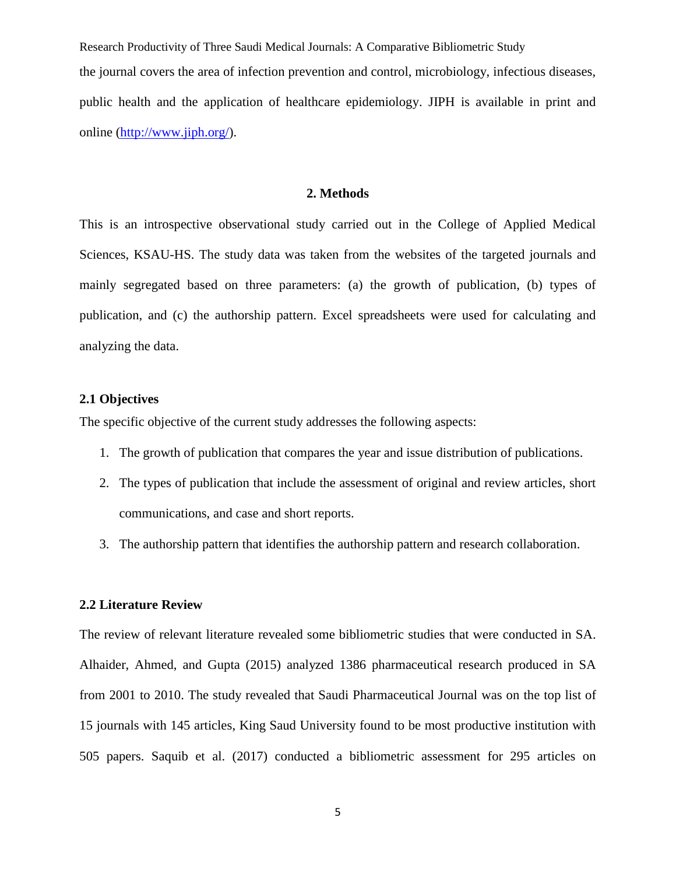Research Productivity of Three Saudi Medical Journals: A Comparative Bibliometric Study the journal covers the area of infection prevention and control, microbiology, infectious diseases, public health and the application of healthcare epidemiology. JIPH is available in print and online [\(http://www.jiph.org/\)](http://www.jiph.org/).

#### **2. Methods**

This is an introspective observational study carried out in the College of Applied Medical Sciences, KSAU-HS. The study data was taken from the websites of the targeted journals and mainly segregated based on three parameters: (a) the growth of publication, (b) types of publication, and (c) the authorship pattern. Excel spreadsheets were used for calculating and analyzing the data.

#### **2.1 Objectives**

The specific objective of the current study addresses the following aspects:

- 1. The growth of publication that compares the year and issue distribution of publications.
- 2. The types of publication that include the assessment of original and review articles, short communications, and case and short reports.
- 3. The authorship pattern that identifies the authorship pattern and research collaboration.

#### **2.2 Literature Review**

The review of relevant literature revealed some bibliometric studies that were conducted in SA. Alhaider, Ahmed, and Gupta (2015) analyzed 1386 pharmaceutical research produced in SA from 2001 to 2010. The study revealed that Saudi Pharmaceutical Journal was on the top list of 15 journals with 145 articles, King Saud University found to be most productive institution with 505 papers. Saquib et al. (2017) conducted a bibliometric assessment for 295 articles on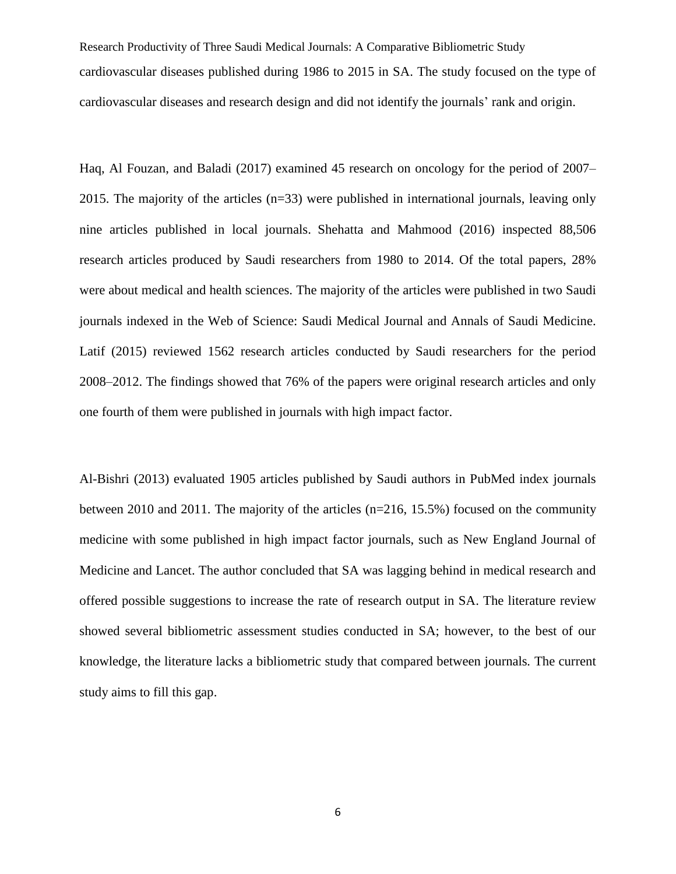Research Productivity of Three Saudi Medical Journals: A Comparative Bibliometric Study cardiovascular diseases published during 1986 to 2015 in SA. The study focused on the type of cardiovascular diseases and research design and did not identify the journals' rank and origin.

Haq, Al Fouzan, and Baladi (2017) examined 45 research on oncology for the period of 2007– 2015. The majority of the articles (n=33) were published in international journals, leaving only nine articles published in local journals. Shehatta and Mahmood (2016) inspected 88,506 research articles produced by Saudi researchers from 1980 to 2014. Of the total papers, 28% were about medical and health sciences. The majority of the articles were published in two Saudi journals indexed in the Web of Science: Saudi Medical Journal and Annals of Saudi Medicine. Latif (2015) reviewed 1562 research articles conducted by Saudi researchers for the period 2008–2012. The findings showed that 76% of the papers were original research articles and only one fourth of them were published in journals with high impact factor.

Al-Bishri (2013) evaluated 1905 articles published by Saudi authors in PubMed index journals between 2010 and 2011. The majority of the articles (n=216, 15.5%) focused on the community medicine with some published in high impact factor journals, such as New England Journal of Medicine and Lancet. The author concluded that SA was lagging behind in medical research and offered possible suggestions to increase the rate of research output in SA. The literature review showed several bibliometric assessment studies conducted in SA; however, to the best of our knowledge, the literature lacks a bibliometric study that compared between journals*.* The current study aims to fill this gap.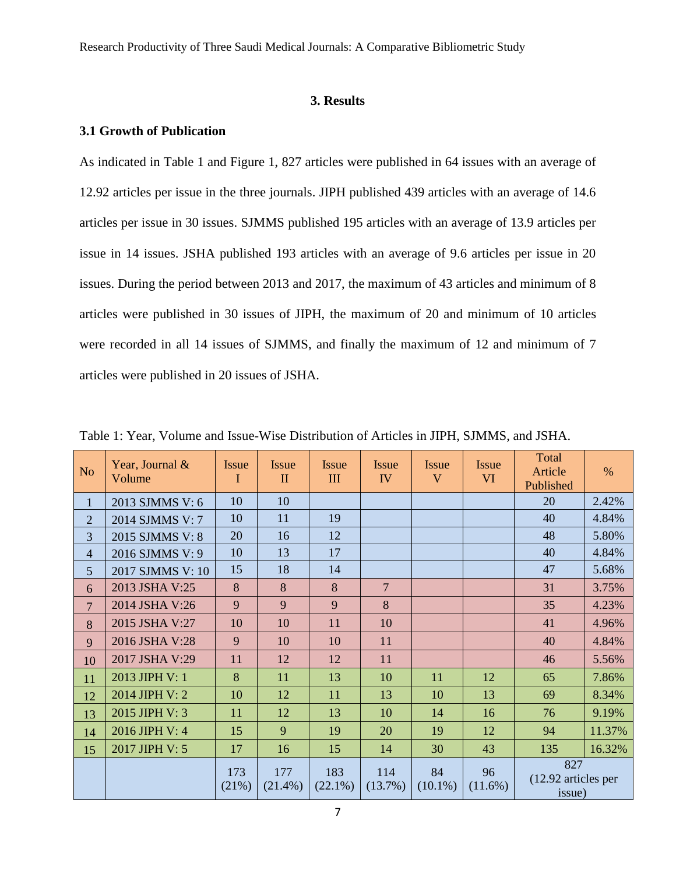#### **3. Results**

#### **3.1 Growth of Publication**

As indicated in Table 1 and Figure 1, 827 articles were published in 64 issues with an average of 12.92 articles per issue in the three journals. JIPH published 439 articles with an average of 14.6 articles per issue in 30 issues. SJMMS published 195 articles with an average of 13.9 articles per issue in 14 issues. JSHA published 193 articles with an average of 9.6 articles per issue in 20 issues. During the period between 2013 and 2017, the maximum of 43 articles and minimum of 8 articles were published in 30 issues of JIPH, the maximum of 20 and minimum of 10 articles were recorded in all 14 issues of SJMMS, and finally the maximum of 12 and minimum of 7 articles were published in 20 issues of JSHA.

| N <sub>o</sub> | Year, Journal &<br>Volume | Issue<br>I   | <b>Issue</b><br>$\mathbf{I}$ | <b>Issue</b><br>III | Issue<br>IV       | <b>Issue</b><br>V | <b>Issue</b><br><b>VI</b> | Total<br>Article<br>Published        | $\%$   |
|----------------|---------------------------|--------------|------------------------------|---------------------|-------------------|-------------------|---------------------------|--------------------------------------|--------|
| $\mathbf{1}$   | 2013 SJMMS V: 6           | 10           | 10                           |                     |                   |                   |                           | 20                                   | 2.42%  |
| $\overline{2}$ | 2014 SJMMS V: 7           | 10           | 11                           | 19                  |                   |                   |                           | 40                                   | 4.84%  |
| 3              | 2015 SJMMS V: 8           | 20           | 16                           | 12                  |                   |                   |                           | 48                                   | 5.80%  |
| $\overline{4}$ | 2016 SJMMS V: 9           | 10           | 13                           | 17                  |                   |                   |                           | 40                                   | 4.84%  |
| 5              | 2017 SJMMS V: 10          | 15           | 18                           | 14                  |                   |                   |                           | 47                                   | 5.68%  |
| 6              | 2013 JSHA V:25            | 8            | 8                            | 8                   | $\overline{7}$    |                   |                           | 31                                   | 3.75%  |
| $\overline{7}$ | 2014 JSHA V:26            | 9            | 9                            | 9                   | 8                 |                   |                           | 35                                   | 4.23%  |
| 8              | 2015 JSHA V:27            | 10           | 10                           | 11                  | 10                |                   |                           | 41                                   | 4.96%  |
| 9              | 2016 JSHA V:28            | 9            | 10                           | 10                  | 11                |                   |                           | 40                                   | 4.84%  |
| 10             | 2017 JSHA V:29            | 11           | 12                           | 12                  | 11                |                   |                           | 46                                   | 5.56%  |
| 11             | 2013 JIPH V: 1            | 8            | 11                           | 13                  | 10                | 11                | 12                        | 65                                   | 7.86%  |
| 12             | 2014 JIPH V: 2            | 10           | 12                           | 11                  | 13                | 10                | 13                        | 69                                   | 8.34%  |
| 13             | 2015 JIPH V: 3            | 11           | 12                           | 13                  | 10                | 14                | 16                        | 76                                   | 9.19%  |
| 14             | 2016 JIPH V: 4            | 15           | 9                            | 19                  | 20                | 19                | 12                        | 94                                   | 11.37% |
| 15             | 2017 JIPH V: 5            | 17           | 16                           | 15                  | 14                | 30                | 43                        | 135                                  | 16.32% |
|                |                           | 173<br>(21%) | 177<br>$(21.4\%)$            | 183<br>$(22.1\%)$   | 114<br>$(13.7\%)$ | 84<br>$(10.1\%)$  | 96<br>$(11.6\%)$          | 827<br>(12.92 articles per<br>issue) |        |

Table 1: Year, Volume and Issue-Wise Distribution of Articles in JIPH, SJMMS, and JSHA.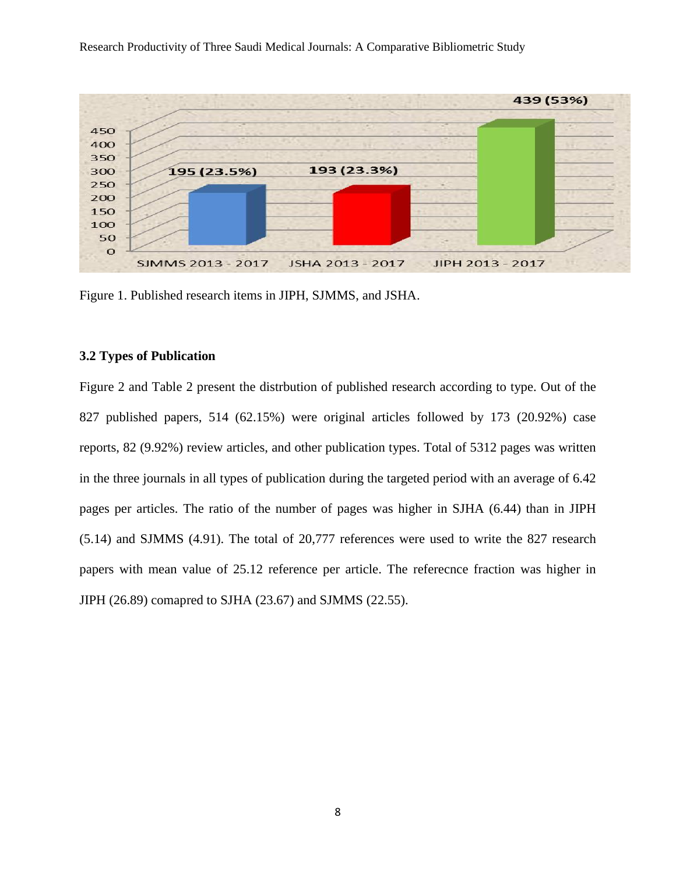

Figure 1. Published research items in JIPH, SJMMS, and JSHA.

#### **3.2 Types of Publication**

Figure 2 and Table 2 present the distrbution of published research according to type. Out of the 827 published papers, 514 (62.15%) were original articles followed by 173 (20.92%) case reports, 82 (9.92%) review articles, and other publication types. Total of 5312 pages was written in the three journals in all types of publication during the targeted period with an average of 6.42 pages per articles. The ratio of the number of pages was higher in SJHA (6.44) than in JIPH (5.14) and SJMMS (4.91). The total of 20,777 references were used to write the 827 research papers with mean value of 25.12 reference per article. The referecnce fraction was higher in JIPH (26.89) comapred to SJHA (23.67) and SJMMS (22.55).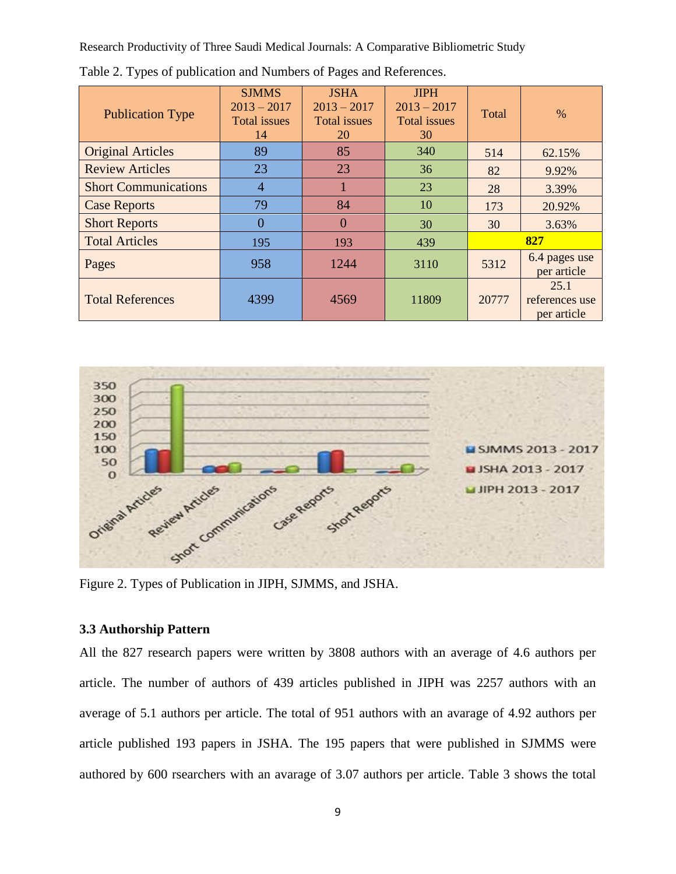| <b>Publication Type</b>     | <b>SJMMS</b><br>$2013 - 2017$<br><b>Total</b> issues<br>14 | <b>JSHA</b><br>$2013 - 2017$<br><b>Total</b> issues<br>20 | <b>JIPH</b><br>$2013 - 2017$<br><b>Total</b> issues<br>30 | Total | $\%$                                  |
|-----------------------------|------------------------------------------------------------|-----------------------------------------------------------|-----------------------------------------------------------|-------|---------------------------------------|
| <b>Original Articles</b>    | 89                                                         | 85                                                        | 340                                                       | 514   | 62.15%                                |
| <b>Review Articles</b>      | 23                                                         | 23                                                        | 36                                                        | 82    | 9.92%                                 |
| <b>Short Communications</b> | $\overline{4}$                                             |                                                           | 23                                                        | 28    | 3.39%                                 |
| <b>Case Reports</b>         | 79                                                         | 84                                                        | 10                                                        | 173   | 20.92%                                |
| <b>Short Reports</b>        | $\theta$                                                   | $\theta$                                                  | 30                                                        | 30    | 3.63%                                 |
| <b>Total Articles</b>       | 195                                                        | 193                                                       | 439                                                       | 827   |                                       |
| Pages                       | 958                                                        | 1244                                                      | 3110                                                      | 5312  | 6.4 pages use<br>per article          |
| <b>Total References</b>     | 4399                                                       | 4569                                                      | 11809                                                     | 20777 | 25.1<br>references use<br>per article |

Table 2. Types of publication and Numbers of Pages and References.



Figure 2. Types of Publication in JIPH, SJMMS, and JSHA.

#### **3.3 Authorship Pattern**

All the 827 research papers were written by 3808 authors with an average of 4.6 authors per article. The number of authors of 439 articles published in JIPH was 2257 authors with an average of 5.1 authors per article. The total of 951 authors with an avarage of 4.92 authors per article published 193 papers in JSHA. The 195 papers that were published in SJMMS were authored by 600 rsearchers with an avarage of 3.07 authors per article. Table 3 shows the total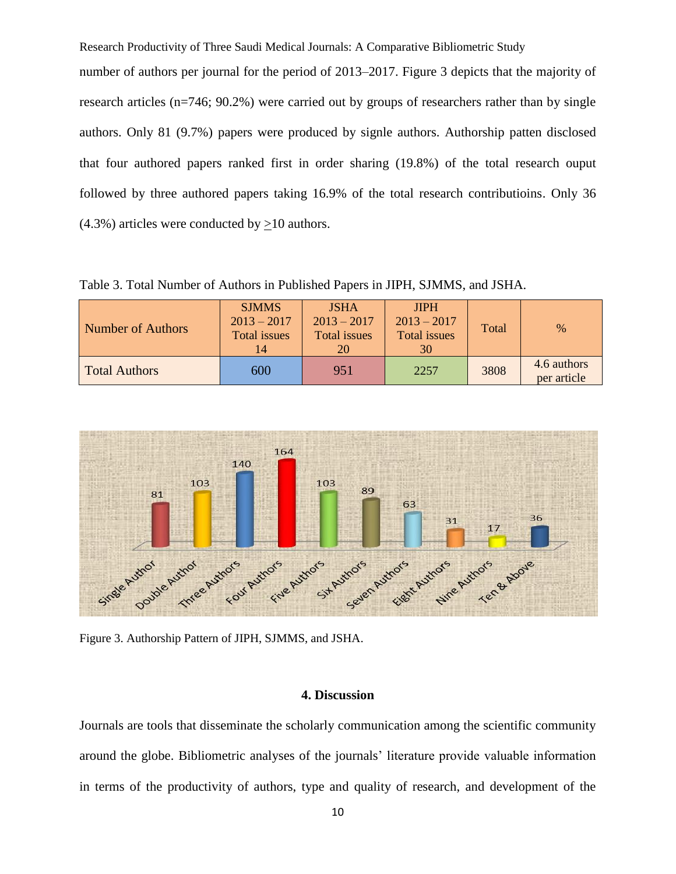number of authors per journal for the period of 2013–2017. Figure 3 depicts that the majority of research articles (n=746; 90.2%) were carried out by groups of researchers rather than by single authors. Only 81 (9.7%) papers were produced by signle authors. Authorship patten disclosed that four authored papers ranked first in order sharing (19.8%) of the total research ouput followed by three authored papers taking 16.9% of the total research contributioins. Only 36 (4.3%) articles were conducted by >10 authors.

Table 3. Total Number of Authors in Published Papers in JIPH, SJMMS, and JSHA.

| Number of Authors    | <b>SJMMS</b><br>$2013 - 2017$<br><b>Total issues</b><br>14 | <b>JSHA</b><br>$2013 - 2017$<br>Total issues<br>20 | <b>JIPH</b><br>$2013 - 2017$<br><b>Total issues</b><br>30 | Total | $\%$                       |
|----------------------|------------------------------------------------------------|----------------------------------------------------|-----------------------------------------------------------|-------|----------------------------|
| <b>Total Authors</b> | 600                                                        | 951                                                | 2257                                                      | 3808  | 4.6 authors<br>per article |



Figure 3. Authorship Pattern of JIPH, SJMMS, and JSHA.

#### **4. Discussion**

Journals are tools that disseminate the scholarly communication among the scientific community around the globe. Bibliometric analyses of the journals' literature provide valuable information in terms of the productivity of authors, type and quality of research, and development of the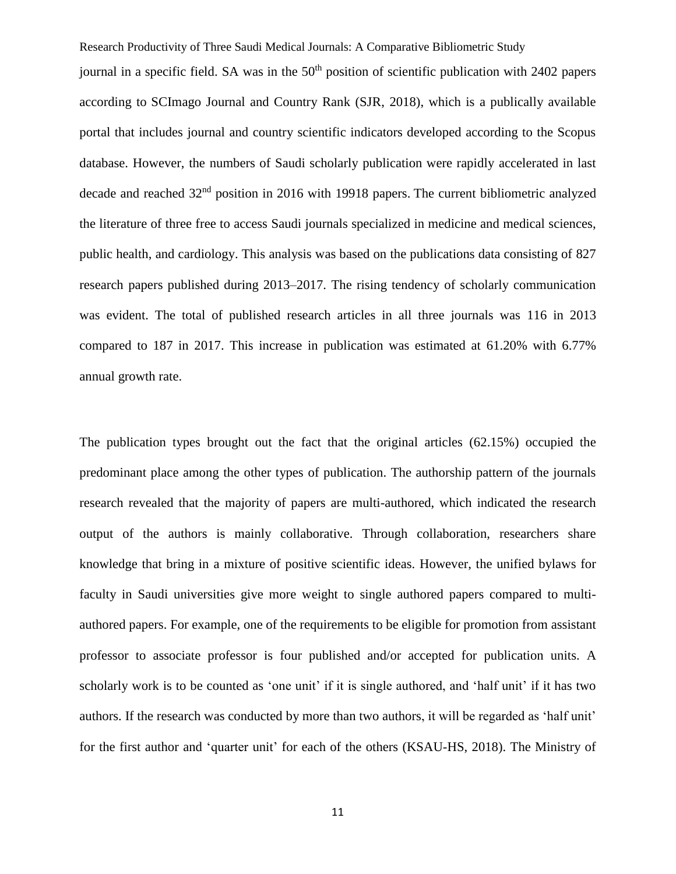Research Productivity of Three Saudi Medical Journals: A Comparative Bibliometric Study journal in a specific field. SA was in the  $50<sup>th</sup>$  position of scientific publication with 2402 papers according to SCImago Journal and Country Rank (SJR, 2018), which is a publically available portal that includes journal and country scientific indicators developed according to the Scopus database. However, the numbers of Saudi scholarly publication were rapidly accelerated in last decade and reached 32<sup>nd</sup> position in 2016 with 19918 papers. The current bibliometric analyzed the literature of three free to access Saudi journals specialized in medicine and medical sciences, public health, and cardiology. This analysis was based on the publications data consisting of 827 research papers published during 2013–2017. The rising tendency of scholarly communication was evident. The total of published research articles in all three journals was 116 in 2013 compared to 187 in 2017. This increase in publication was estimated at 61.20% with 6.77% annual growth rate.

The publication types brought out the fact that the original articles (62.15%) occupied the predominant place among the other types of publication. The authorship pattern of the journals research revealed that the majority of papers are multi-authored, which indicated the research output of the authors is mainly collaborative. Through collaboration, researchers share knowledge that bring in a mixture of positive scientific ideas. However, the unified bylaws for faculty in Saudi universities give more weight to single authored papers compared to multiauthored papers. For example, one of the requirements to be eligible for promotion from assistant professor to associate professor is four published and/or accepted for publication units. A scholarly work is to be counted as 'one unit' if it is single authored, and 'half unit' if it has two authors. If the research was conducted by more than two authors, it will be regarded as 'half unit' for the first author and 'quarter unit' for each of the others (KSAU-HS, 2018). The Ministry of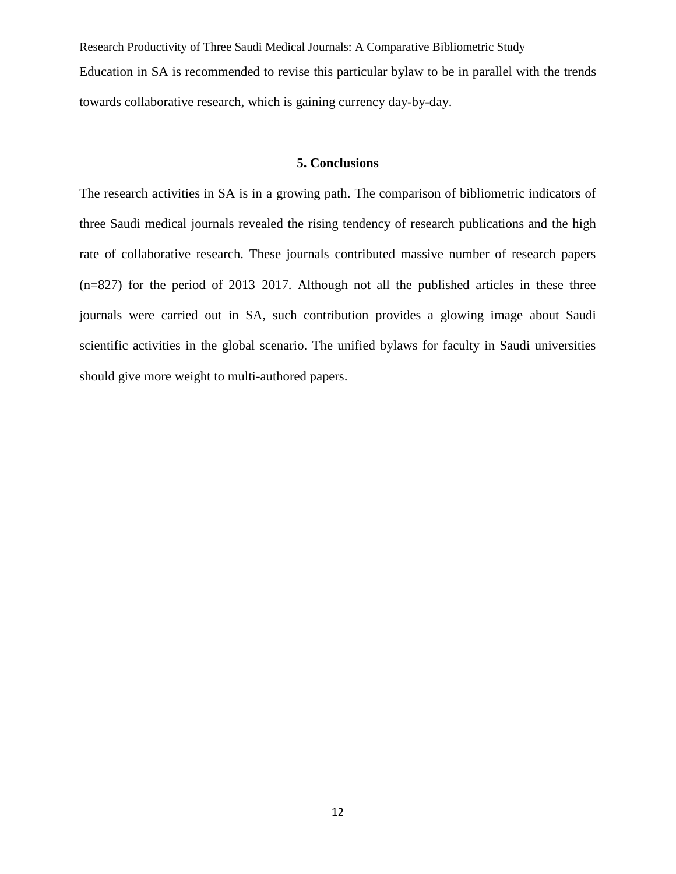Research Productivity of Three Saudi Medical Journals: A Comparative Bibliometric Study Education in SA is recommended to revise this particular bylaw to be in parallel with the trends towards collaborative research, which is gaining currency day-by-day.

#### **5. Conclusions**

The research activities in SA is in a growing path. The comparison of bibliometric indicators of three Saudi medical journals revealed the rising tendency of research publications and the high rate of collaborative research. These journals contributed massive number of research papers (n=827) for the period of 2013–2017. Although not all the published articles in these three journals were carried out in SA, such contribution provides a glowing image about Saudi scientific activities in the global scenario. The unified bylaws for faculty in Saudi universities should give more weight to multi-authored papers.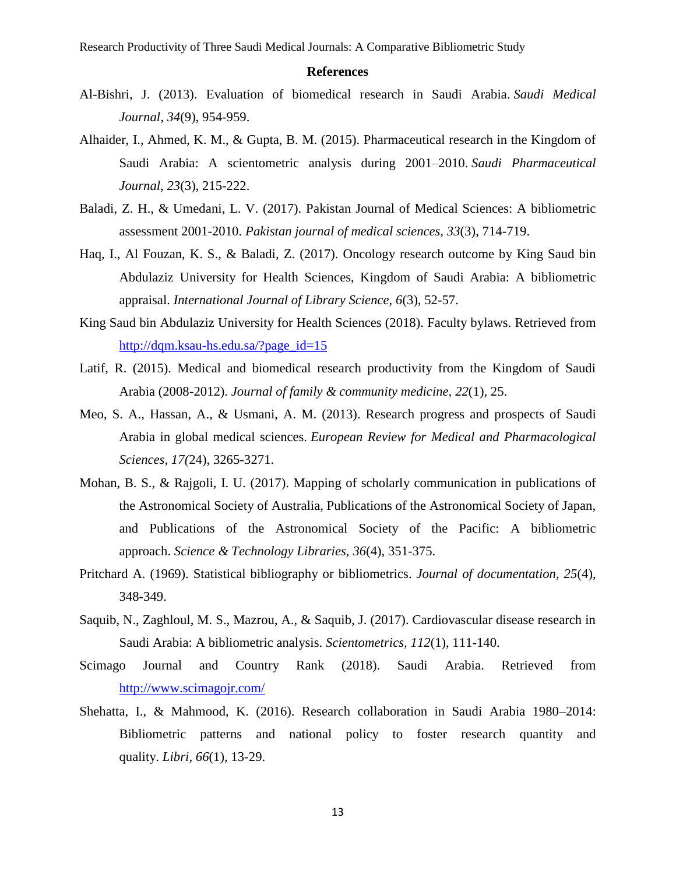#### **References**

- Al-Bishri, J. (2013). Evaluation of biomedical research in Saudi Arabia. *Saudi Medical Journal, 34*(9), 954-959.
- Alhaider, I., Ahmed, K. M., & Gupta, B. M. (2015). Pharmaceutical research in the Kingdom of Saudi Arabia: A scientometric analysis during 2001–2010. *Saudi Pharmaceutical Journal, 23*(3), 215-222.
- Baladi, Z. H., & Umedani, L. V. (2017). Pakistan Journal of Medical Sciences: A bibliometric assessment 2001-2010. *Pakistan journal of medical sciences, 33*(3), 714-719.
- Haq, I., Al Fouzan, K. S., & Baladi, Z. (2017). Oncology research outcome by King Saud bin Abdulaziz University for Health Sciences, Kingdom of Saudi Arabia: A bibliometric appraisal. *International Journal of Library Science, 6*(3), 52-57.
- King Saud bin Abdulaziz University for Health Sciences (2018). Faculty bylaws. Retrieved from [http://dqm.ksau-hs.edu.sa/?page\\_id=15](http://dqm.ksau-hs.edu.sa/?page_id=15)
- Latif, R. (2015). Medical and biomedical research productivity from the Kingdom of Saudi Arabia (2008-2012). *Journal of family & community medicine, 22*(1), 25.
- Meo, S. A., Hassan, A., & Usmani, A. M. (2013). Research progress and prospects of Saudi Arabia in global medical sciences. *European Review for Medical and Pharmacological Sciences, 17(*24), 3265-3271.
- Mohan, B. S., & Rajgoli, I. U. (2017). Mapping of scholarly communication in publications of the Astronomical Society of Australia, Publications of the Astronomical Society of Japan, and Publications of the Astronomical Society of the Pacific: A bibliometric approach. *Science & Technology Libraries, 36*(4), 351-375.
- Pritchard A. (1969). Statistical bibliography or bibliometrics. *Journal of documentation, 25*(4), 348-349.
- Saquib, N., Zaghloul, M. S., Mazrou, A., & Saquib, J. (2017). Cardiovascular disease research in Saudi Arabia: A bibliometric analysis. *Scientometrics, 112*(1), 111-140.
- Scimago Journal and Country Rank (2018). Saudi Arabia. Retrieved from <http://www.scimagojr.com/>
- Shehatta, I., & Mahmood, K. (2016). Research collaboration in Saudi Arabia 1980–2014: Bibliometric patterns and national policy to foster research quantity and quality. *Libri, 66*(1), 13-29.